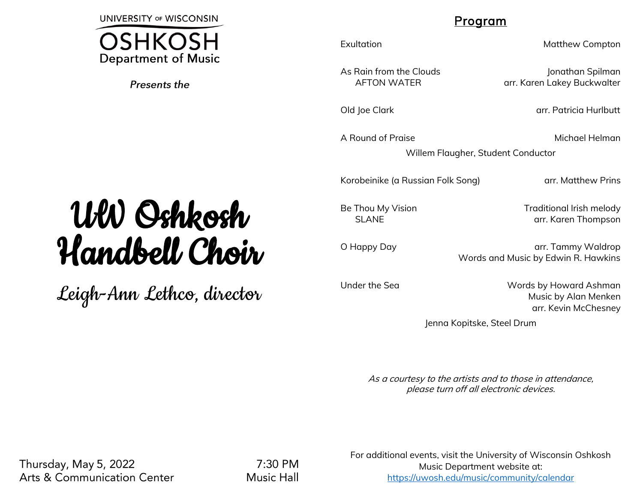**UNIVERSITY OF WISCONSIN** 

**OSHKOSH Department of Music** 

Presents the

## Program

A Round of Praise **Michael Helman** 

Exultation **Matthew Compton** 

As Rain from the Clouds and Jonathan Spilman AFTON WATER arr. Karen Lakey Buckwalter

Old Joe Clark arrest arrest arrest arrest arrest arrest arrest arrest arrest arrest arrest arrest arrest arrest

Willem Flaugher, Student Conductor

Korobeinike (a Russian Folk Song) arr. Matthew Prins

SLANE arr. Karen Thompson

Be Thou My Vision **Example 20** Traditional Irish melody

O Happy Day **blue arrest arrest arrest arrest arrest arrest arrest arrest arrest arrest arrest arrest arrest arrest arrest arrest arrest arrest arrest arrest arrest arrest arrest arrest arrest arrest arrest arrest arrest a** Words and Music by Edwin R. Hawkins

Under the Sea Words by Howard Ashman Music by Alan Menken arr. Kevin McChesney

Jenna Kopitske, Steel Drum

As a courtesy to the artists and to those in attendance, please turn off all electronic devices.

## UW Oshkosh Handbell Choir

Leigh-Ann Lethco, director

Thursday, May 5, 2022 **Arts & Communication Center** 

7:30 PM **Music Hall** 

For additional events, visit the University of Wisconsin Oshkosh Music Department website at: <https://uwosh.edu/music/community/calendar>